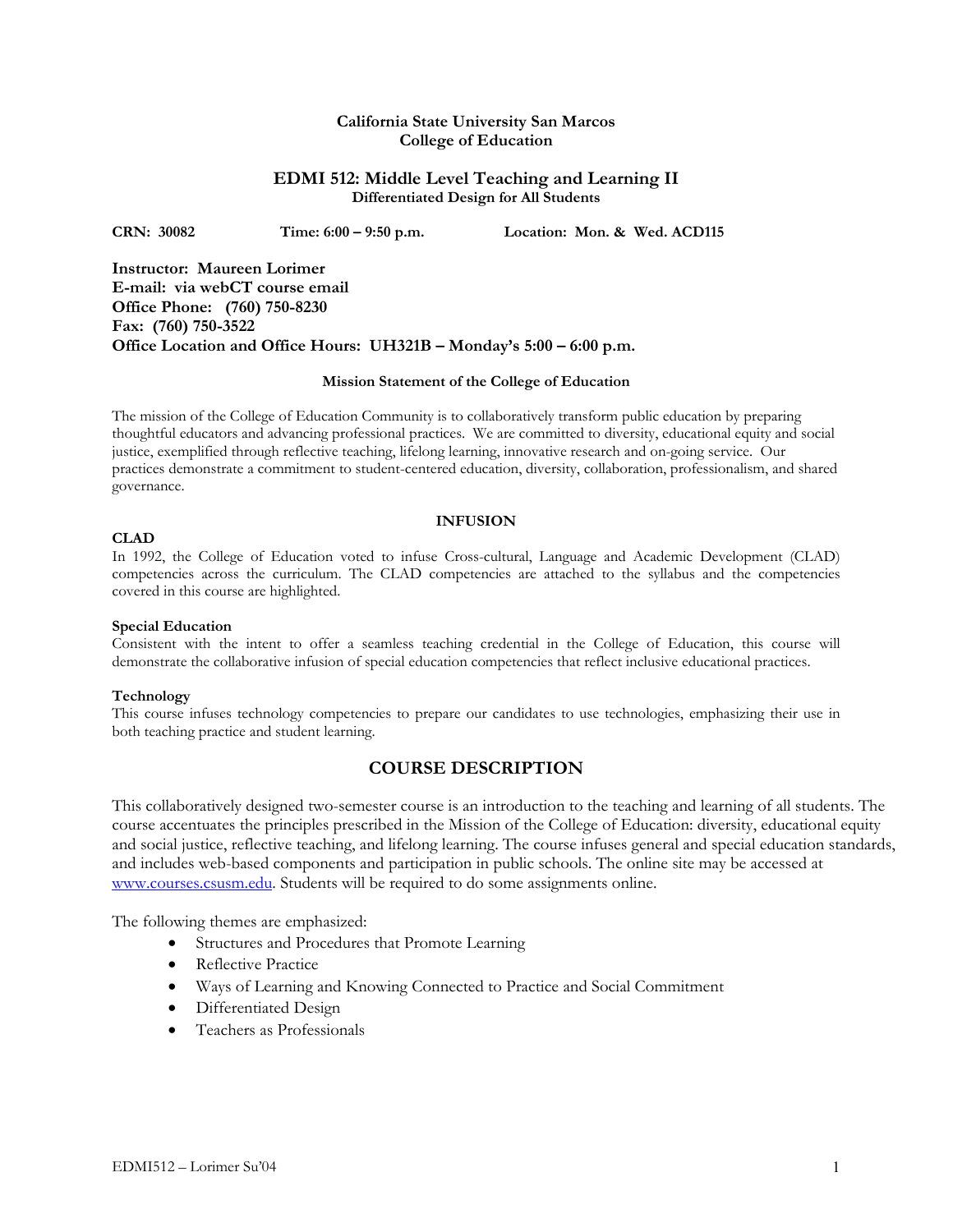# **California State University San Marcos College of Education**

# **EDMI 512: Middle Level Teaching and Learning II Differentiated Design for All Students**

**CRN: 30082 Time: 6:00 – 9:50 p.m. Location: Mon. & Wed. ACD115** 

**Instructor: Maureen Lorimer E-mail: via webCT course email Office Phone: (760) 750-8230 Fax: (760) 750-3522 Office Location and Office Hours: UH321B – Monday's 5:00 – 6:00 p.m.** 

### **Mission Statement of the College of Education**

The mission of the College of Education Community is to collaboratively transform public education by preparing thoughtful educators and advancing professional practices. We are committed to diversity, educational equity and social justice, exemplified through reflective teaching, lifelong learning, innovative research and on-going service. Our practices demonstrate a commitment to student-centered education, diversity, collaboration, professionalism, and shared governance.

### **INFUSION**

## **CLAD**

In 1992, the College of Education voted to infuse Cross-cultural, Language and Academic Development (CLAD) competencies across the curriculum. The CLAD competencies are attached to the syllabus and the competencies covered in this course are highlighted.

### **Special Education**

Consistent with the intent to offer a seamless teaching credential in the College of Education, this course will demonstrate the collaborative infusion of special education competencies that reflect inclusive educational practices.

### **Technology**

This course infuses technology competencies to prepare our candidates to use technologies, emphasizing their use in both teaching practice and student learning.

# **COURSE DESCRIPTION**

This collaboratively designed two-semester course is an introduction to the teaching and learning of all students. The course accentuates the principles prescribed in the Mission of the College of Education: diversity, educational equity and social justice, reflective teaching, and lifelong learning. The course infuses general and special education standards, and includes web-based components and participation in public schools. The online site may be accessed at www.courses.csusm.edu. Students will be required to do some assignments online.

The following themes are emphasized:

- Structures and Procedures that Promote Learning
- Reflective Practice
- Ways of Learning and Knowing Connected to Practice and Social Commitment
- Differentiated Design
- Teachers as Professionals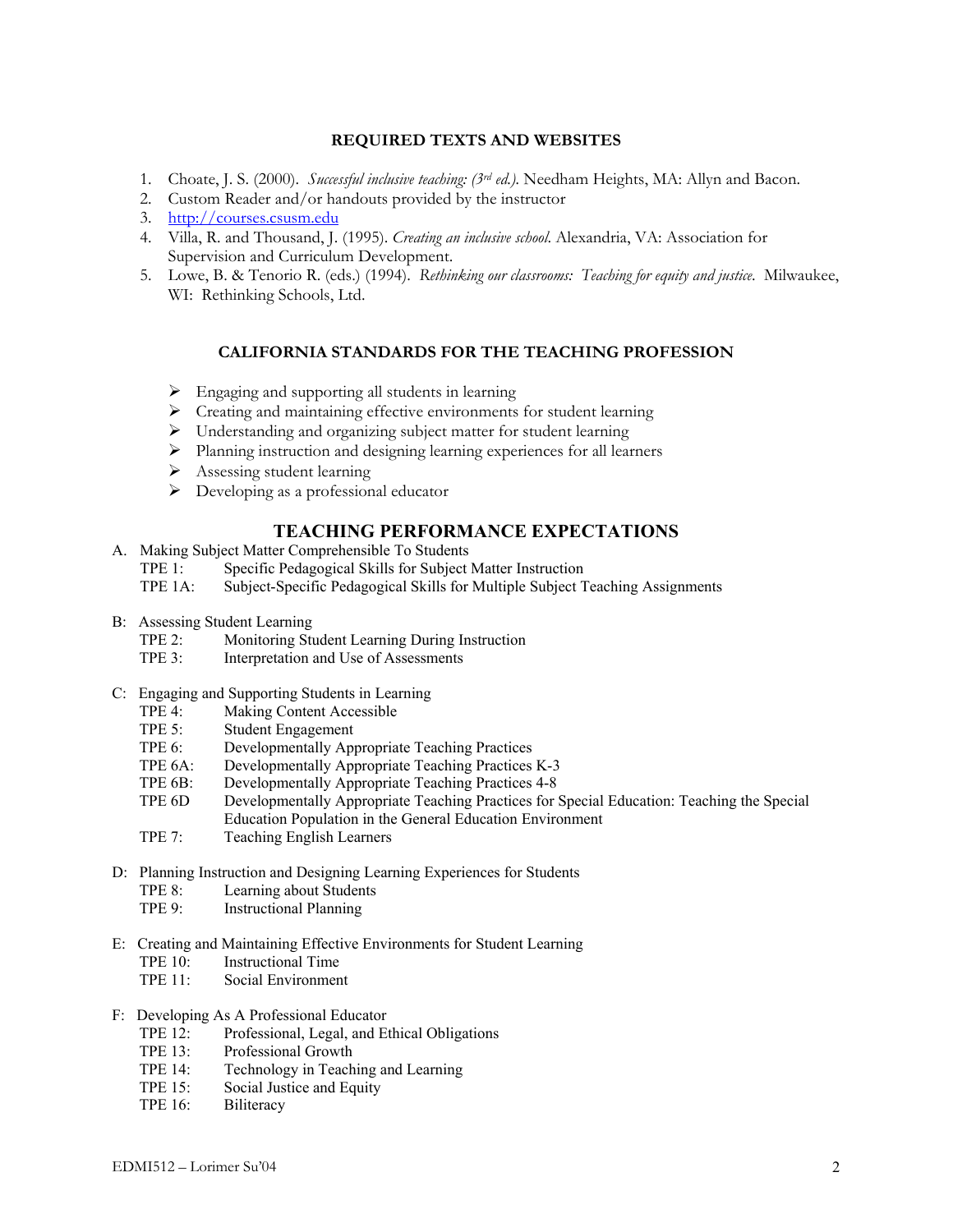# **REQUIRED TEXTS AND WEBSITES**

- 1. Choate, J. S. (2000). *Successful inclusive teaching: (3rd ed.).* Needham Heights, MA: Allyn and Bacon.
- 2. Custom Reader and/or handouts provided by the instructor
- 3. http://courses.csusm.edu
- 4. Villa, R. and Thousand, J. (1995). *Creating an inclusive school*. Alexandria, VA: Association for Supervision and Curriculum Development.
- 5. Lowe, B. & Tenorio R. (eds.) (1994). *Rethinking our classrooms: Teaching for equity and justice*. Milwaukee, WI: Rethinking Schools, Ltd.

# **CALIFORNIA STANDARDS FOR THE TEACHING PROFESSION**

- $\triangleright$  Engaging and supporting all students in learning
- $\triangleright$  Creating and maintaining effective environments for student learning
- $\triangleright$  Understanding and organizing subject matter for student learning
- ¾ Planning instruction and designing learning experiences for all learners
- $\triangleright$  Assessing student learning
- ¾ Developing as a professional educator

# **TEACHING PERFORMANCE EXPECTATIONS**

- A. Making Subject Matter Comprehensible To Students
	- TPE 1: Specific Pedagogical Skills for Subject Matter Instruction
	- TPE 1A: Subject-Specific Pedagogical Skills for Multiple Subject Teaching Assignments
- B: Assessing Student Learning
	- TPE 2: Monitoring Student Learning During Instruction
	- TPE 3: Interpretation and Use of Assessments
- C: Engaging and Supporting Students in Learning
	- TPE 4: Making Content Accessible<br>TPE 5: Student Engagement
	- Student Engagement
	- TPE 6: Developmentally Appropriate Teaching Practices
	- TPE 6A: Developmentally Appropriate Teaching Practices K-3
	- TPE 6B: Developmentally Appropriate Teaching Practices 4-8
	- TPE 6D Developmentally Appropriate Teaching Practices for Special Education: Teaching the Special Education Population in the General Education Environment
	- TPE 7: Teaching English Learners
- D: Planning Instruction and Designing Learning Experiences for Students
	- TPE 8: Learning about Students
	- TPE 9: Instructional Planning
- E: Creating and Maintaining Effective Environments for Student Learning
	- TPE 10: Instructional Time
	- TPE 11: Social Environment

#### F: Developing As A Professional Educator

- TPE 12: Professional, Legal, and Ethical Obligations
- TPE 13: Professional Growth
- TPE 14: Technology in Teaching and Learning
- TPE 15: Social Justice and Equity
- TPE 16: Biliteracy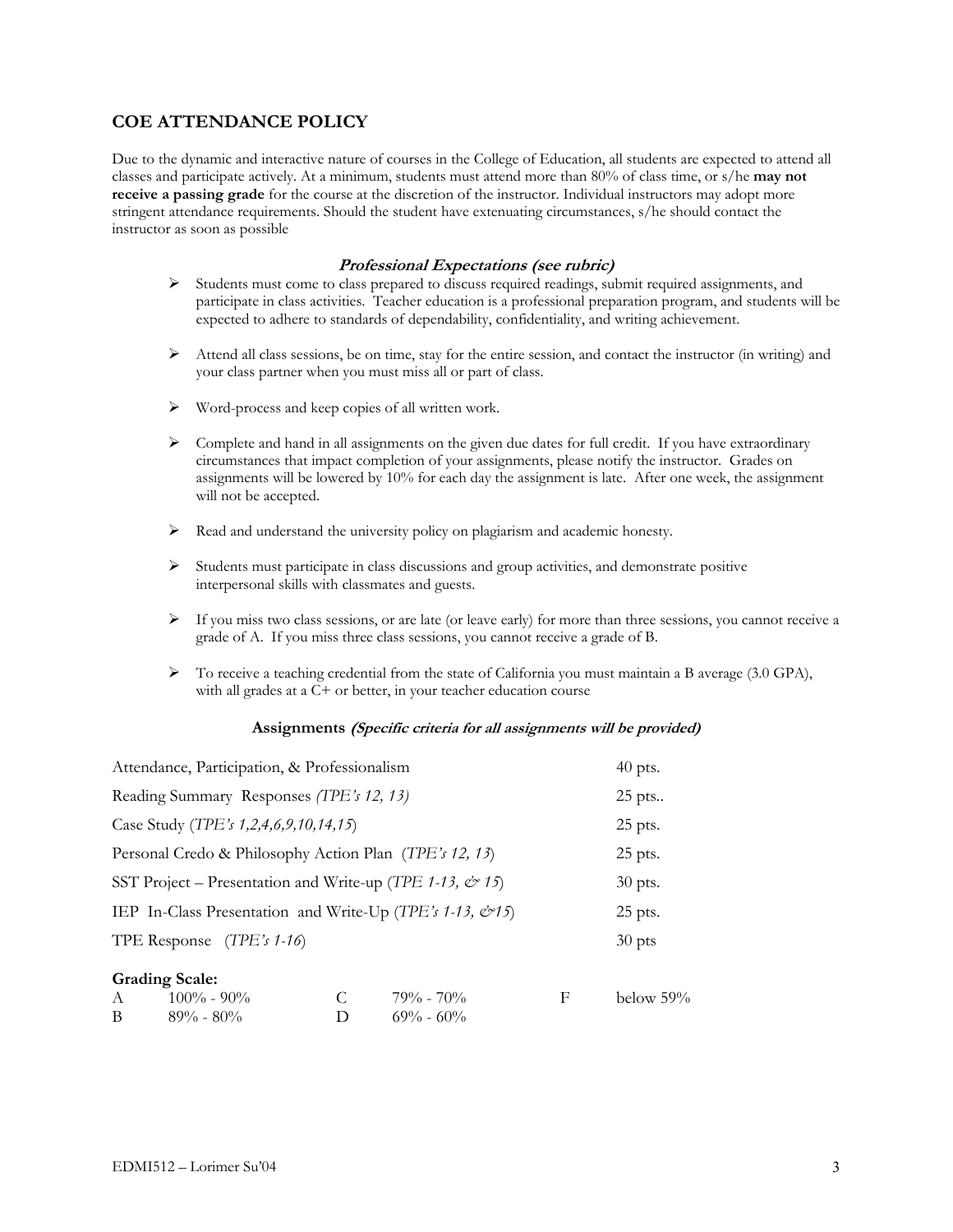# **COE ATTENDANCE POLICY**

Due to the dynamic and interactive nature of courses in the College of Education, all students are expected to attend all classes and participate actively. At a minimum, students must attend more than 80% of class time, or s/he **may not receive a passing grade** for the course at the discretion of the instructor. Individual instructors may adopt more stringent attendance requirements. Should the student have extenuating circumstances, s/he should contact the instructor as soon as possible

# **Professional Expectations (see rubric)**

- $\triangleright$  Students must come to class prepared to discuss required readings, submit required assignments, and participate in class activities. Teacher education is a professional preparation program, and students will be expected to adhere to standards of dependability, confidentiality, and writing achievement.
- $\triangleright$  Attend all class sessions, be on time, stay for the entire session, and contact the instructor (in writing) and your class partner when you must miss all or part of class.
- $\triangleright$  Word-process and keep copies of all written work.
- $\triangleright$  Complete and hand in all assignments on the given due dates for full credit. If you have extraordinary circumstances that impact completion of your assignments, please notify the instructor. Grades on assignments will be lowered by 10% for each day the assignment is late. After one week, the assignment will not be accepted.
- $\triangleright$  Read and understand the university policy on plagiarism and academic honesty.
- $\triangleright$  Students must participate in class discussions and group activities, and demonstrate positive interpersonal skills with classmates and guests.
- $\triangleright$  If you miss two class sessions, or are late (or leave early) for more than three sessions, you cannot receive a grade of A. If you miss three class sessions, you cannot receive a grade of B.
- $\triangleright$  To receive a teaching credential from the state of California you must maintain a B average (3.0 GPA), with all grades at a C+ or better, in your teacher education course

### **Assignments (Specific criteria for all assignments will be provided)**

| Attendance, Participation, & Professionalism                               |               |   | $40$ pts. |
|----------------------------------------------------------------------------|---------------|---|-----------|
| Reading Summary Responses (TPE's 12, 13)                                   |               |   | 25 pts    |
| Case Study (TPE's 1,2,4,6,9,10,14,15)                                      |               |   | $25$ pts. |
| Personal Credo & Philosophy Action Plan (TPE's 12, 13)                     | $25$ pts.     |   |           |
| SST Project – Presentation and Write-up (TPE 1-13, $\dot{\mathcal{C}}$ 15) | 30 pts.       |   |           |
| IEP In-Class Presentation and Write-Up (TPE's 1-13, $\mathcal{O}15$ )      |               |   |           |
| TPE Response $(TPE's 1-16)$                                                |               |   | $30$ pts  |
| <b>Grading Scale:</b><br>$100\% - 90\%$<br>C<br>A                          | $79\% - 70\%$ | F | below 59% |

B  $89\% - 80\%$  D  $69\% - 60\%$